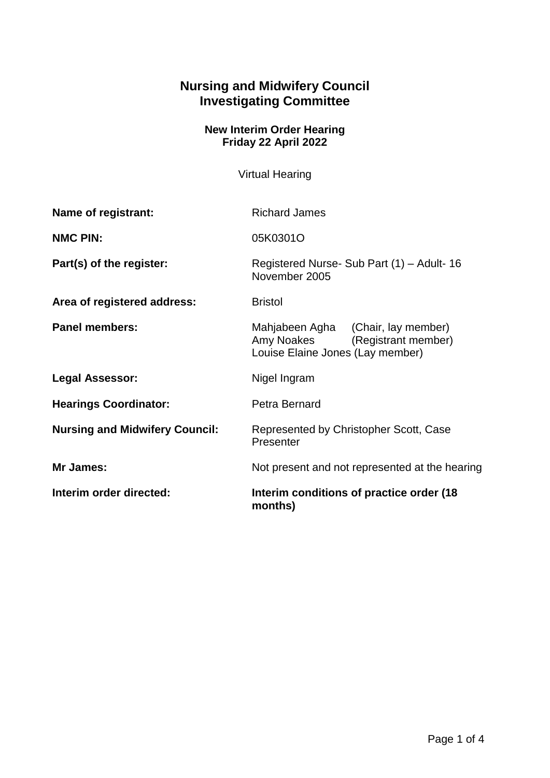## **Nursing and Midwifery Council Investigating Committee**

## **New Interim Order Hearing Friday 22 April 2022**

Virtual Hearing

| Name of registrant:                   | <b>Richard James</b>                                                                                     |
|---------------------------------------|----------------------------------------------------------------------------------------------------------|
| <b>NMC PIN:</b>                       | 05K0301O                                                                                                 |
| Part(s) of the register:              | Registered Nurse- Sub Part (1) - Adult- 16<br>November 2005                                              |
| Area of registered address:           | <b>Bristol</b>                                                                                           |
| <b>Panel members:</b>                 | Mahjabeen Agha (Chair, lay member)<br>Amy Noakes (Registrant member)<br>Louise Elaine Jones (Lay member) |
| <b>Legal Assessor:</b>                | Nigel Ingram                                                                                             |
| <b>Hearings Coordinator:</b>          | Petra Bernard                                                                                            |
| <b>Nursing and Midwifery Council:</b> | Represented by Christopher Scott, Case<br>Presenter                                                      |
| Mr James:                             | Not present and not represented at the hearing                                                           |
| Interim order directed:               | Interim conditions of practice order (18)<br>months)                                                     |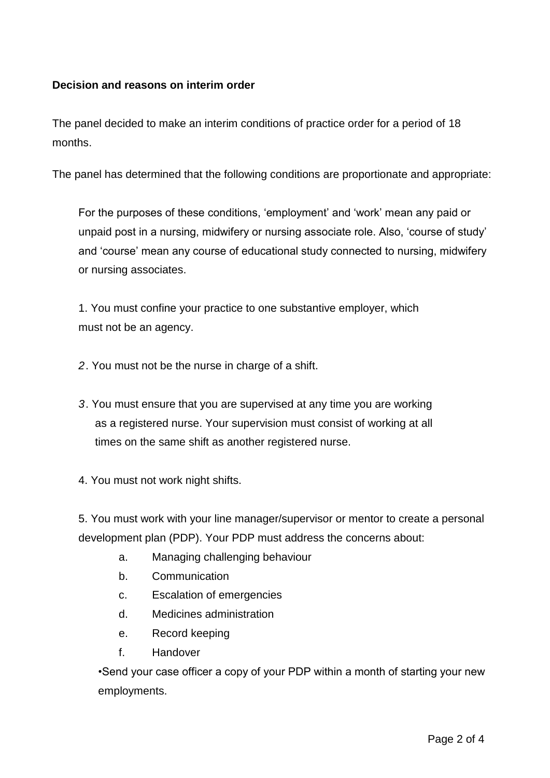## **Decision and reasons on interim order**

The panel decided to make an interim conditions of practice order for a period of 18 months.

The panel has determined that the following conditions are proportionate and appropriate:

For the purposes of these conditions, 'employment' and 'work' mean any paid or unpaid post in a nursing, midwifery or nursing associate role. Also, 'course of study' and 'course' mean any course of educational study connected to nursing, midwifery or nursing associates.

1. You must confine your practice to one substantive employer, which must not be an agency.

*2*. You must not be the nurse in charge of a shift.

*3*. You must ensure that you are supervised at any time you are working as a registered nurse. Your supervision must consist of working at all times on the same shift as another registered nurse.

4. You must not work night shifts.

5. You must work with your line manager/supervisor or mentor to create a personal development plan (PDP). Your PDP must address the concerns about:

- a. Managing challenging behaviour
- b. Communication
- c. Escalation of emergencies
- d. Medicines administration
- e. Record keeping
- f. Handover

•Send your case officer a copy of your PDP within a month of starting your new employments.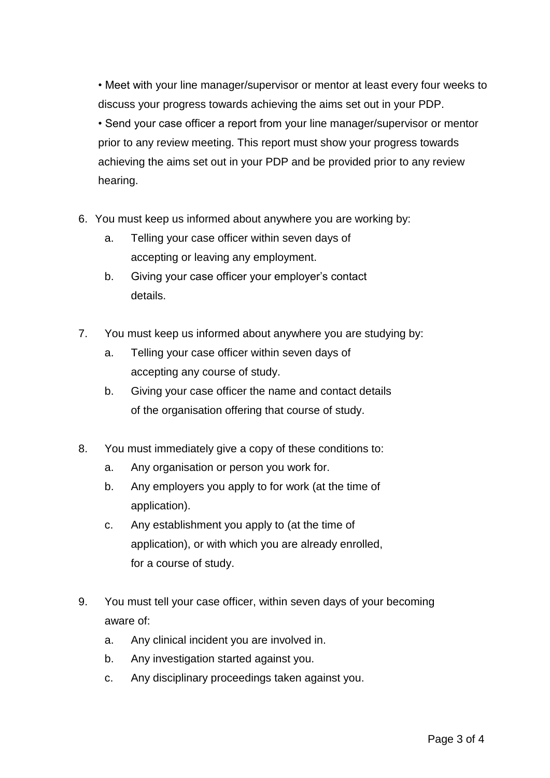• Meet with your line manager/supervisor or mentor at least every four weeks to discuss your progress towards achieving the aims set out in your PDP. • Send your case officer a report from your line manager/supervisor or mentor prior to any review meeting. This report must show your progress towards achieving the aims set out in your PDP and be provided prior to any review hearing.

- 6. You must keep us informed about anywhere you are working by:
	- a. Telling your case officer within seven days of accepting or leaving any employment.
	- b. Giving your case officer your employer's contact details.
- 7. You must keep us informed about anywhere you are studying by:
	- a. Telling your case officer within seven days of accepting any course of study.
	- b. Giving your case officer the name and contact details of the organisation offering that course of study.
- 8. You must immediately give a copy of these conditions to:
	- a. Any organisation or person you work for.
	- b. Any employers you apply to for work (at the time of application).
	- c. Any establishment you apply to (at the time of application), or with which you are already enrolled, for a course of study.
- 9. You must tell your case officer, within seven days of your becoming aware of:
	- a. Any clinical incident you are involved in.
	- b. Any investigation started against you.
	- c. Any disciplinary proceedings taken against you.